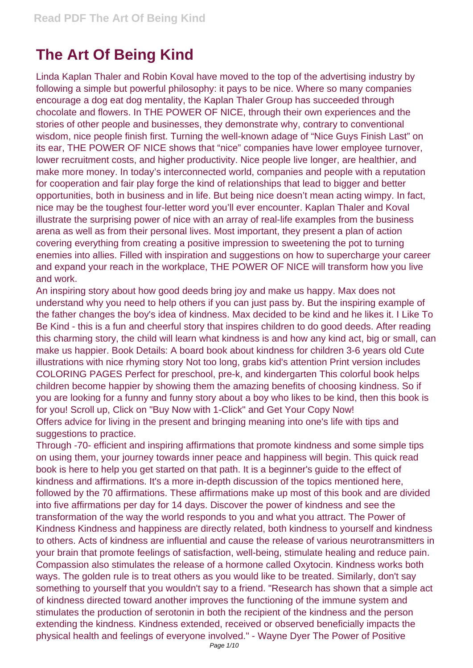## **The Art Of Being Kind**

Linda Kaplan Thaler and Robin Koval have moved to the top of the advertising industry by following a simple but powerful philosophy: it pays to be nice. Where so many companies encourage a dog eat dog mentality, the Kaplan Thaler Group has succeeded through chocolate and flowers. In THE POWER OF NICE, through their own experiences and the stories of other people and businesses, they demonstrate why, contrary to conventional wisdom, nice people finish first. Turning the well-known adage of "Nice Guys Finish Last" on its ear, THE POWER OF NICE shows that "nice" companies have lower employee turnover, lower recruitment costs, and higher productivity. Nice people live longer, are healthier, and make more money. In today's interconnected world, companies and people with a reputation for cooperation and fair play forge the kind of relationships that lead to bigger and better opportunities, both in business and in life. But being nice doesn't mean acting wimpy. In fact, nice may be the toughest four-letter word you'll ever encounter. Kaplan Thaler and Koval illustrate the surprising power of nice with an array of real-life examples from the business arena as well as from their personal lives. Most important, they present a plan of action covering everything from creating a positive impression to sweetening the pot to turning enemies into allies. Filled with inspiration and suggestions on how to supercharge your career and expand your reach in the workplace, THE POWER OF NICE will transform how you live and work.

An inspiring story about how good deeds bring joy and make us happy. Max does not understand why you need to help others if you can just pass by. But the inspiring example of the father changes the boy's idea of kindness. Max decided to be kind and he likes it. I Like To Be Kind - this is a fun and cheerful story that inspires children to do good deeds. After reading this charming story, the child will learn what kindness is and how any kind act, big or small, can make us happier. Book Details: A board book about kindness for children 3-6 years old Cute illustrations with nice rhyming story Not too long, grabs kid's attention Print version includes COLORING PAGES Perfect for preschool, pre-k, and kindergarten This colorful book helps children become happier by showing them the amazing benefits of choosing kindness. So if you are looking for a funny and funny story about a boy who likes to be kind, then this book is for you! Scroll up, Click on "Buy Now with 1-Click" and Get Your Copy Now! Offers advice for living in the present and bringing meaning into one's life with tips and suggestions to practice.

Through -70- efficient and inspiring affirmations that promote kindness and some simple tips on using them, your journey towards inner peace and happiness will begin. This quick read book is here to help you get started on that path. It is a beginner's guide to the effect of kindness and affirmations. It's a more in-depth discussion of the topics mentioned here, followed by the 70 affirmations. These affirmations make up most of this book and are divided into five affirmations per day for 14 days. Discover the power of kindness and see the transformation of the way the world responds to you and what you attract. The Power of Kindness Kindness and happiness are directly related, both kindness to yourself and kindness to others. Acts of kindness are influential and cause the release of various neurotransmitters in your brain that promote feelings of satisfaction, well-being, stimulate healing and reduce pain. Compassion also stimulates the release of a hormone called Oxytocin. Kindness works both ways. The golden rule is to treat others as you would like to be treated. Similarly, don't say something to yourself that you wouldn't say to a friend. "Research has shown that a simple act of kindness directed toward another improves the functioning of the immune system and stimulates the production of serotonin in both the recipient of the kindness and the person extending the kindness. Kindness extended, received or observed beneficially impacts the physical health and feelings of everyone involved." - Wayne Dyer The Power of Positive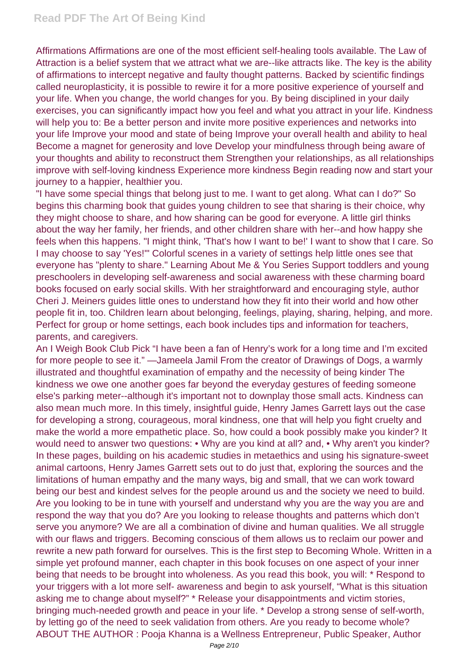Affirmations Affirmations are one of the most efficient self-healing tools available. The Law of Attraction is a belief system that we attract what we are--like attracts like. The key is the ability of affirmations to intercept negative and faulty thought patterns. Backed by scientific findings called neuroplasticity, it is possible to rewire it for a more positive experience of yourself and your life. When you change, the world changes for you. By being disciplined in your daily exercises, you can significantly impact how you feel and what you attract in your life. Kindness will help you to: Be a better person and invite more positive experiences and networks into your life Improve your mood and state of being Improve your overall health and ability to heal Become a magnet for generosity and love Develop your mindfulness through being aware of your thoughts and ability to reconstruct them Strengthen your relationships, as all relationships improve with self-loving kindness Experience more kindness Begin reading now and start your journey to a happier, healthier you.

"I have some special things that belong just to me. I want to get along. What can I do?" So begins this charming book that guides young children to see that sharing is their choice, why they might choose to share, and how sharing can be good for everyone. A little girl thinks about the way her family, her friends, and other children share with her--and how happy she feels when this happens. "I might think, 'That's how I want to be!' I want to show that I care. So I may choose to say 'Yes!'" Colorful scenes in a variety of settings help little ones see that everyone has "plenty to share." Learning About Me & You Series Support toddlers and young preschoolers in developing self-awareness and social awareness with these charming board books focused on early social skills. With her straightforward and encouraging style, author Cheri J. Meiners guides little ones to understand how they fit into their world and how other people fit in, too. Children learn about belonging, feelings, playing, sharing, helping, and more. Perfect for group or home settings, each book includes tips and information for teachers, parents, and caregivers.

An I Weigh Book Club Pick "I have been a fan of Henry's work for a long time and I'm excited for more people to see it." —Jameela Jamil From the creator of Drawings of Dogs, a warmly illustrated and thoughtful examination of empathy and the necessity of being kinder The kindness we owe one another goes far beyond the everyday gestures of feeding someone else's parking meter--although it's important not to downplay those small acts. Kindness can also mean much more. In this timely, insightful guide, Henry James Garrett lays out the case for developing a strong, courageous, moral kindness, one that will help you fight cruelty and make the world a more empathetic place. So, how could a book possibly make you kinder? It would need to answer two questions: • Why are you kind at all? and, • Why aren't you kinder? In these pages, building on his academic studies in metaethics and using his signature-sweet animal cartoons, Henry James Garrett sets out to do just that, exploring the sources and the limitations of human empathy and the many ways, big and small, that we can work toward being our best and kindest selves for the people around us and the society we need to build. Are you looking to be in tune with yourself and understand why you are the way you are and respond the way that you do? Are you looking to release thoughts and patterns which don't serve you anymore? We are all a combination of divine and human qualities. We all struggle with our flaws and triggers. Becoming conscious of them allows us to reclaim our power and rewrite a new path forward for ourselves. This is the first step to Becoming Whole. Written in a simple yet profound manner, each chapter in this book focuses on one aspect of your inner being that needs to be brought into wholeness. As you read this book, you will: \* Respond to your triggers with a lot more self- awareness and begin to ask yourself, "What is this situation asking me to change about myself?" \* Release your disappointments and victim stories, bringing much-needed growth and peace in your life. \* Develop a strong sense of self-worth, by letting go of the need to seek validation from others. Are you ready to become whole? ABOUT THE AUTHOR : Pooja Khanna is a Wellness Entrepreneur, Public Speaker, Author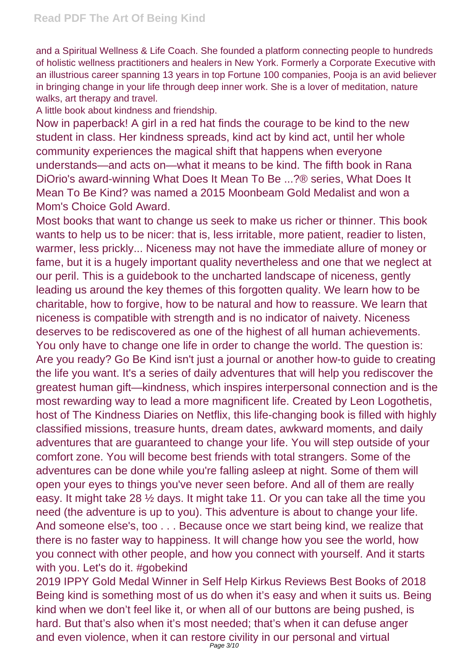and a Spiritual Wellness & Life Coach. She founded a platform connecting people to hundreds of holistic wellness practitioners and healers in New York. Formerly a Corporate Executive with an illustrious career spanning 13 years in top Fortune 100 companies, Pooja is an avid believer in bringing change in your life through deep inner work. She is a lover of meditation, nature walks, art therapy and travel.

A little book about kindness and friendship.

Now in paperback! A girl in a red hat finds the courage to be kind to the new student in class. Her kindness spreads, kind act by kind act, until her whole community experiences the magical shift that happens when everyone understands—and acts on—what it means to be kind. The fifth book in Rana DiOrio's award-winning What Does It Mean To Be ...?® series, What Does It Mean To Be Kind? was named a 2015 Moonbeam Gold Medalist and won a Mom's Choice Gold Award.

Most books that want to change us seek to make us richer or thinner. This book wants to help us to be nicer: that is, less irritable, more patient, readier to listen, warmer, less prickly... Niceness may not have the immediate allure of money or fame, but it is a hugely important quality nevertheless and one that we neglect at our peril. This is a guidebook to the uncharted landscape of niceness, gently leading us around the key themes of this forgotten quality. We learn how to be charitable, how to forgive, how to be natural and how to reassure. We learn that niceness is compatible with strength and is no indicator of naivety. Niceness deserves to be rediscovered as one of the highest of all human achievements. You only have to change one life in order to change the world. The question is: Are you ready? Go Be Kind isn't just a journal or another how-to guide to creating the life you want. It's a series of daily adventures that will help you rediscover the greatest human gift—kindness, which inspires interpersonal connection and is the most rewarding way to lead a more magnificent life. Created by Leon Logothetis, host of The Kindness Diaries on Netflix, this life-changing book is filled with highly classified missions, treasure hunts, dream dates, awkward moments, and daily adventures that are guaranteed to change your life. You will step outside of your comfort zone. You will become best friends with total strangers. Some of the adventures can be done while you're falling asleep at night. Some of them will open your eyes to things you've never seen before. And all of them are really easy. It might take 28 ½ days. It might take 11. Or you can take all the time you need (the adventure is up to you). This adventure is about to change your life. And someone else's, too . . . Because once we start being kind, we realize that there is no faster way to happiness. It will change how you see the world, how you connect with other people, and how you connect with yourself. And it starts with you. Let's do it. #gobekind

2019 IPPY Gold Medal Winner in Self Help Kirkus Reviews Best Books of 2018 Being kind is something most of us do when it's easy and when it suits us. Being kind when we don't feel like it, or when all of our buttons are being pushed, is hard. But that's also when it's most needed; that's when it can defuse anger and even violence, when it can restore civility in our personal and virtual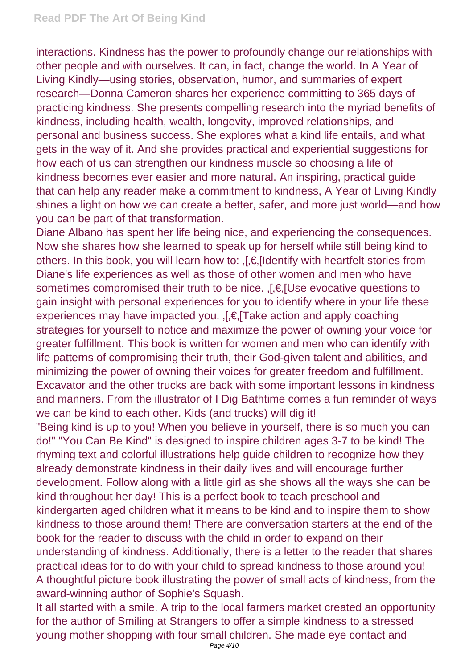interactions. Kindness has the power to profoundly change our relationships with other people and with ourselves. It can, in fact, change the world. In A Year of Living Kindly—using stories, observation, humor, and summaries of expert research—Donna Cameron shares her experience committing to 365 days of practicing kindness. She presents compelling research into the myriad benefits of kindness, including health, wealth, longevity, improved relationships, and personal and business success. She explores what a kind life entails, and what gets in the way of it. And she provides practical and experiential suggestions for how each of us can strengthen our kindness muscle so choosing a life of kindness becomes ever easier and more natural. An inspiring, practical guide that can help any reader make a commitment to kindness, A Year of Living Kindly shines a light on how we can create a better, safer, and more just world—and how you can be part of that transformation.

Diane Albano has spent her life being nice, and experiencing the consequences. Now she shares how she learned to speak up for herself while still being kind to others. In this book, you will learn how to:  $\int E_r$ [Identify with heartfelt stories from Diane's life experiences as well as those of other women and men who have sometimes compromised their truth to be nice. [,€] Use evocative questions to gain insight with personal experiences for you to identify where in your life these experiences may have impacted you. [.€.] Take action and apply coaching strategies for yourself to notice and maximize the power of owning your voice for greater fulfillment. This book is written for women and men who can identify with life patterns of compromising their truth, their God-given talent and abilities, and minimizing the power of owning their voices for greater freedom and fulfillment. Excavator and the other trucks are back with some important lessons in kindness and manners. From the illustrator of I Dig Bathtime comes a fun reminder of ways we can be kind to each other. Kids (and trucks) will dig it!

"Being kind is up to you! When you believe in yourself, there is so much you can do!" "You Can Be Kind" is designed to inspire children ages 3-7 to be kind! The rhyming text and colorful illustrations help guide children to recognize how they already demonstrate kindness in their daily lives and will encourage further development. Follow along with a little girl as she shows all the ways she can be kind throughout her day! This is a perfect book to teach preschool and kindergarten aged children what it means to be kind and to inspire them to show kindness to those around them! There are conversation starters at the end of the book for the reader to discuss with the child in order to expand on their understanding of kindness. Additionally, there is a letter to the reader that shares practical ideas for to do with your child to spread kindness to those around you! A thoughtful picture book illustrating the power of small acts of kindness, from the award-winning author of Sophie's Squash.

It all started with a smile. A trip to the local farmers market created an opportunity for the author of Smiling at Strangers to offer a simple kindness to a stressed young mother shopping with four small children. She made eye contact and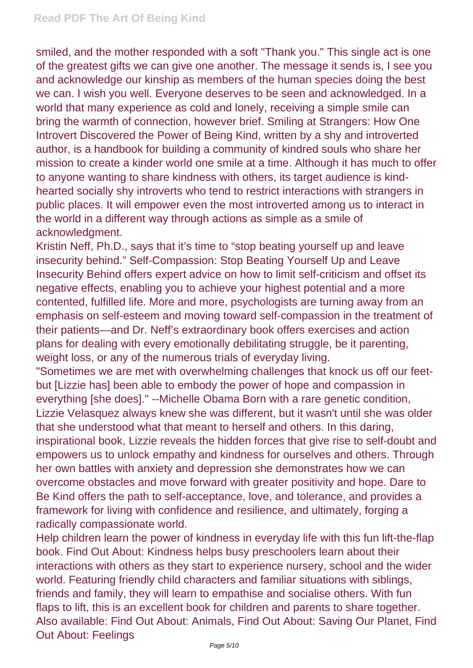smiled, and the mother responded with a soft "Thank you." This single act is one of the greatest gifts we can give one another. The message it sends is, I see you and acknowledge our kinship as members of the human species doing the best we can. I wish you well. Everyone deserves to be seen and acknowledged. In a world that many experience as cold and lonely, receiving a simple smile can bring the warmth of connection, however brief. Smiling at Strangers: How One Introvert Discovered the Power of Being Kind, written by a shy and introverted author, is a handbook for building a community of kindred souls who share her mission to create a kinder world one smile at a time. Although it has much to offer to anyone wanting to share kindness with others, its target audience is kindhearted socially shy introverts who tend to restrict interactions with strangers in public places. It will empower even the most introverted among us to interact in the world in a different way through actions as simple as a smile of acknowledgment.

Kristin Neff, Ph.D., says that it's time to "stop beating yourself up and leave insecurity behind." Self-Compassion: Stop Beating Yourself Up and Leave Insecurity Behind offers expert advice on how to limit self-criticism and offset its negative effects, enabling you to achieve your highest potential and a more contented, fulfilled life. More and more, psychologists are turning away from an emphasis on self-esteem and moving toward self-compassion in the treatment of their patients—and Dr. Neff's extraordinary book offers exercises and action plans for dealing with every emotionally debilitating struggle, be it parenting, weight loss, or any of the numerous trials of everyday living.

"Sometimes we are met with overwhelming challenges that knock us off our feetbut [Lizzie has] been able to embody the power of hope and compassion in everything [she does]." --Michelle Obama Born with a rare genetic condition, Lizzie Velasquez always knew she was different, but it wasn't until she was older that she understood what that meant to herself and others. In this daring, inspirational book, Lizzie reveals the hidden forces that give rise to self-doubt and empowers us to unlock empathy and kindness for ourselves and others. Through her own battles with anxiety and depression she demonstrates how we can overcome obstacles and move forward with greater positivity and hope. Dare to Be Kind offers the path to self-acceptance, love, and tolerance, and provides a framework for living with confidence and resilience, and ultimately, forging a radically compassionate world.

Help children learn the power of kindness in everyday life with this fun lift-the-flap book. Find Out About: Kindness helps busy preschoolers learn about their interactions with others as they start to experience nursery, school and the wider world. Featuring friendly child characters and familiar situations with siblings, friends and family, they will learn to empathise and socialise others. With fun flaps to lift, this is an excellent book for children and parents to share together. Also available: Find Out About: Animals, Find Out About: Saving Our Planet, Find Out About: Feelings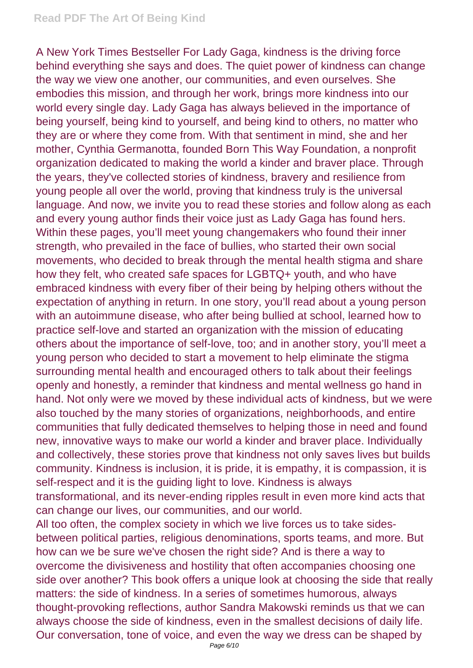## **Read PDF The Art Of Being Kind**

A New York Times Bestseller For Lady Gaga, kindness is the driving force behind everything she says and does. The quiet power of kindness can change the way we view one another, our communities, and even ourselves. She embodies this mission, and through her work, brings more kindness into our world every single day. Lady Gaga has always believed in the importance of being yourself, being kind to yourself, and being kind to others, no matter who they are or where they come from. With that sentiment in mind, she and her mother, Cynthia Germanotta, founded Born This Way Foundation, a nonprofit organization dedicated to making the world a kinder and braver place. Through the years, they've collected stories of kindness, bravery and resilience from young people all over the world, proving that kindness truly is the universal language. And now, we invite you to read these stories and follow along as each and every young author finds their voice just as Lady Gaga has found hers. Within these pages, you'll meet young changemakers who found their inner strength, who prevailed in the face of bullies, who started their own social movements, who decided to break through the mental health stigma and share how they felt, who created safe spaces for LGBTQ+ youth, and who have embraced kindness with every fiber of their being by helping others without the expectation of anything in return. In one story, you'll read about a young person with an autoimmune disease, who after being bullied at school, learned how to practice self-love and started an organization with the mission of educating others about the importance of self-love, too; and in another story, you'll meet a young person who decided to start a movement to help eliminate the stigma surrounding mental health and encouraged others to talk about their feelings openly and honestly, a reminder that kindness and mental wellness go hand in hand. Not only were we moved by these individual acts of kindness, but we were also touched by the many stories of organizations, neighborhoods, and entire communities that fully dedicated themselves to helping those in need and found new, innovative ways to make our world a kinder and braver place. Individually and collectively, these stories prove that kindness not only saves lives but builds community. Kindness is inclusion, it is pride, it is empathy, it is compassion, it is self-respect and it is the guiding light to love. Kindness is always transformational, and its never-ending ripples result in even more kind acts that can change our lives, our communities, and our world.

All too often, the complex society in which we live forces us to take sidesbetween political parties, religious denominations, sports teams, and more. But how can we be sure we've chosen the right side? And is there a way to overcome the divisiveness and hostility that often accompanies choosing one side over another? This book offers a unique look at choosing the side that really matters: the side of kindness. In a series of sometimes humorous, always thought-provoking reflections, author Sandra Makowski reminds us that we can always choose the side of kindness, even in the smallest decisions of daily life. Our conversation, tone of voice, and even the way we dress can be shaped by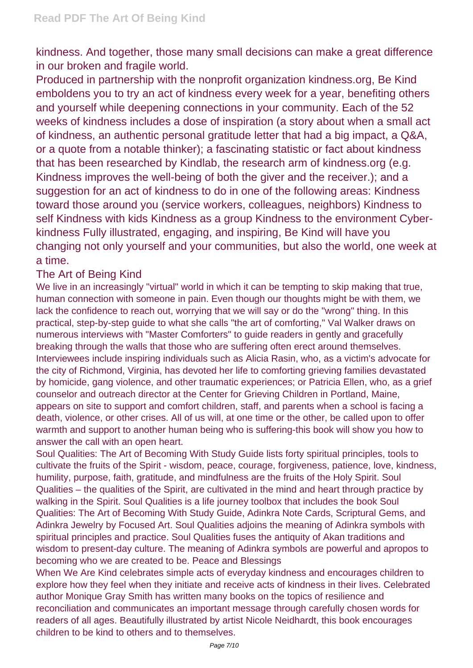kindness. And together, those many small decisions can make a great difference in our broken and fragile world.

Produced in partnership with the nonprofit organization kindness.org, Be Kind emboldens you to try an act of kindness every week for a year, benefiting others and yourself while deepening connections in your community. Each of the 52 weeks of kindness includes a dose of inspiration (a story about when a small act of kindness, an authentic personal gratitude letter that had a big impact, a Q&A, or a quote from a notable thinker); a fascinating statistic or fact about kindness that has been researched by Kindlab, the research arm of kindness.org (e.g. Kindness improves the well-being of both the giver and the receiver.); and a suggestion for an act of kindness to do in one of the following areas: Kindness toward those around you (service workers, colleagues, neighbors) Kindness to self Kindness with kids Kindness as a group Kindness to the environment Cyberkindness Fully illustrated, engaging, and inspiring, Be Kind will have you changing not only yourself and your communities, but also the world, one week at a time.

## The Art of Being Kind

We live in an increasingly "virtual" world in which it can be tempting to skip making that true, human connection with someone in pain. Even though our thoughts might be with them, we lack the confidence to reach out, worrying that we will say or do the "wrong" thing. In this practical, step-by-step guide to what she calls "the art of comforting," Val Walker draws on numerous interviews with "Master Comforters" to guide readers in gently and gracefully breaking through the walls that those who are suffering often erect around themselves. Interviewees include inspiring individuals such as Alicia Rasin, who, as a victim's advocate for the city of Richmond, Virginia, has devoted her life to comforting grieving families devastated by homicide, gang violence, and other traumatic experiences; or Patricia Ellen, who, as a grief counselor and outreach director at the Center for Grieving Children in Portland, Maine, appears on site to support and comfort children, staff, and parents when a school is facing a death, violence, or other crises. All of us will, at one time or the other, be called upon to offer warmth and support to another human being who is suffering-this book will show you how to answer the call with an open heart.

Soul Qualities: The Art of Becoming With Study Guide lists forty spiritual principles, tools to cultivate the fruits of the Spirit - wisdom, peace, courage, forgiveness, patience, love, kindness, humility, purpose, faith, gratitude, and mindfulness are the fruits of the Holy Spirit. Soul Qualities – the qualities of the Spirit, are cultivated in the mind and heart through practice by walking in the Spirit. Soul Qualities is a life journey toolbox that includes the book Soul Qualities: The Art of Becoming With Study Guide, Adinkra Note Cards, Scriptural Gems, and Adinkra Jewelry by Focused Art. Soul Qualities adjoins the meaning of Adinkra symbols with spiritual principles and practice. Soul Qualities fuses the antiquity of Akan traditions and wisdom to present-day culture. The meaning of Adinkra symbols are powerful and apropos to becoming who we are created to be. Peace and Blessings

When We Are Kind celebrates simple acts of everyday kindness and encourages children to explore how they feel when they initiate and receive acts of kindness in their lives. Celebrated author Monique Gray Smith has written many books on the topics of resilience and reconciliation and communicates an important message through carefully chosen words for readers of all ages. Beautifully illustrated by artist Nicole Neidhardt, this book encourages children to be kind to others and to themselves.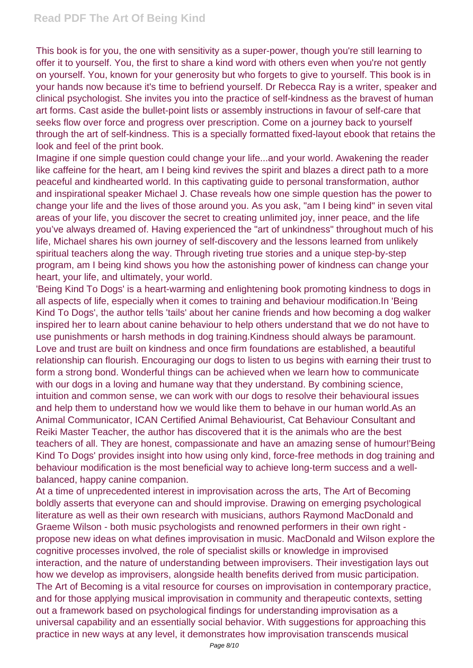This book is for you, the one with sensitivity as a super-power, though you're still learning to offer it to yourself. You, the first to share a kind word with others even when you're not gently on yourself. You, known for your generosity but who forgets to give to yourself. This book is in your hands now because it's time to befriend yourself. Dr Rebecca Ray is a writer, speaker and clinical psychologist. She invites you into the practice of self-kindness as the bravest of human art forms. Cast aside the bullet-point lists or assembly instructions in favour of self-care that seeks flow over force and progress over prescription. Come on a journey back to yourself through the art of self-kindness. This is a specially formatted fixed-layout ebook that retains the look and feel of the print book.

Imagine if one simple question could change your life...and your world. Awakening the reader like caffeine for the heart, am I being kind revives the spirit and blazes a direct path to a more peaceful and kindhearted world. In this captivating guide to personal transformation, author and inspirational speaker Michael J. Chase reveals how one simple question has the power to change your life and the lives of those around you. As you ask, "am I being kind" in seven vital areas of your life, you discover the secret to creating unlimited joy, inner peace, and the life you've always dreamed of. Having experienced the "art of unkindness" throughout much of his life, Michael shares his own journey of self-discovery and the lessons learned from unlikely spiritual teachers along the way. Through riveting true stories and a unique step-by-step program, am I being kind shows you how the astonishing power of kindness can change your heart, your life, and ultimately, your world.

'Being Kind To Dogs' is a heart-warming and enlightening book promoting kindness to dogs in all aspects of life, especially when it comes to training and behaviour modification.In 'Being Kind To Dogs', the author tells 'tails' about her canine friends and how becoming a dog walker inspired her to learn about canine behaviour to help others understand that we do not have to use punishments or harsh methods in dog training.Kindness should always be paramount. Love and trust are built on kindness and once firm foundations are established, a beautiful relationship can flourish. Encouraging our dogs to listen to us begins with earning their trust to form a strong bond. Wonderful things can be achieved when we learn how to communicate with our dogs in a loving and humane way that they understand. By combining science, intuition and common sense, we can work with our dogs to resolve their behavioural issues and help them to understand how we would like them to behave in our human world.As an Animal Communicator, ICAN Certified Animal Behaviourist, Cat Behaviour Consultant and Reiki Master Teacher, the author has discovered that it is the animals who are the best teachers of all. They are honest, compassionate and have an amazing sense of humour!'Being Kind To Dogs' provides insight into how using only kind, force-free methods in dog training and behaviour modification is the most beneficial way to achieve long-term success and a wellbalanced, happy canine companion.

At a time of unprecedented interest in improvisation across the arts, The Art of Becoming boldly asserts that everyone can and should improvise. Drawing on emerging psychological literature as well as their own research with musicians, authors Raymond MacDonald and Graeme Wilson - both music psychologists and renowned performers in their own right propose new ideas on what defines improvisation in music. MacDonald and Wilson explore the cognitive processes involved, the role of specialist skills or knowledge in improvised interaction, and the nature of understanding between improvisers. Their investigation lays out how we develop as improvisers, alongside health benefits derived from music participation. The Art of Becoming is a vital resource for courses on improvisation in contemporary practice, and for those applying musical improvisation in community and therapeutic contexts, setting out a framework based on psychological findings for understanding improvisation as a universal capability and an essentially social behavior. With suggestions for approaching this practice in new ways at any level, it demonstrates how improvisation transcends musical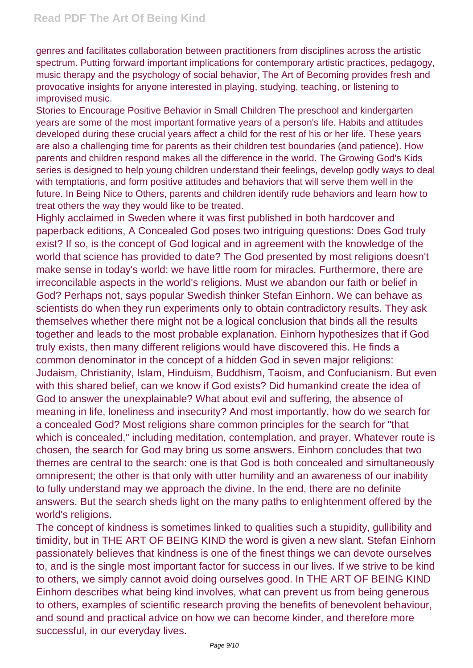genres and facilitates collaboration between practitioners from disciplines across the artistic spectrum. Putting forward important implications for contemporary artistic practices, pedagogy, music therapy and the psychology of social behavior, The Art of Becoming provides fresh and provocative insights for anyone interested in playing, studying, teaching, or listening to improvised music.

Stories to Encourage Positive Behavior in Small Children The preschool and kindergarten years are some of the most important formative years of a person's life. Habits and attitudes developed during these crucial years affect a child for the rest of his or her life. These years are also a challenging time for parents as their children test boundaries (and patience). How parents and children respond makes all the difference in the world. The Growing God's Kids series is designed to help young children understand their feelings, develop godly ways to deal with temptations, and form positive attitudes and behaviors that will serve them well in the future. In Being Nice to Others, parents and children identify rude behaviors and learn how to treat others the way they would like to be treated.

Highly acclaimed in Sweden where it was first published in both hardcover and paperback editions, A Concealed God poses two intriguing questions: Does God truly exist? If so, is the concept of God logical and in agreement with the knowledge of the world that science has provided to date? The God presented by most religions doesn't make sense in today's world; we have little room for miracles. Furthermore, there are irreconcilable aspects in the world's religions. Must we abandon our faith or belief in God? Perhaps not, says popular Swedish thinker Stefan Einhorn. We can behave as scientists do when they run experiments only to obtain contradictory results. They ask themselves whether there might not be a logical conclusion that binds all the results together and leads to the most probable explanation. Einhorn hypothesizes that if God truly exists, then many different religions would have discovered this. He finds a common denominator in the concept of a hidden God in seven major religions: Judaism, Christianity, Islam, Hinduism, Buddhism, Taoism, and Confucianism. But even with this shared belief, can we know if God exists? Did humankind create the idea of God to answer the unexplainable? What about evil and suffering, the absence of meaning in life, loneliness and insecurity? And most importantly, how do we search for a concealed God? Most religions share common principles for the search for "that which is concealed," including meditation, contemplation, and prayer. Whatever route is chosen, the search for God may bring us some answers. Einhorn concludes that two themes are central to the search: one is that God is both concealed and simultaneously omnipresent; the other is that only with utter humility and an awareness of our inability to fully understand may we approach the divine. In the end, there are no definite answers. But the search sheds light on the many paths to enlightenment offered by the world's religions.

The concept of kindness is sometimes linked to qualities such a stupidity, gullibility and timidity, but in THE ART OF BEING KIND the word is given a new slant. Stefan Einhorn passionately believes that kindness is one of the finest things we can devote ourselves to, and is the single most important factor for success in our lives. If we strive to be kind to others, we simply cannot avoid doing ourselves good. In THE ART OF BEING KIND Einhorn describes what being kind involves, what can prevent us from being generous to others, examples of scientific research proving the benefits of benevolent behaviour, and sound and practical advice on how we can become kinder, and therefore more successful, in our everyday lives.